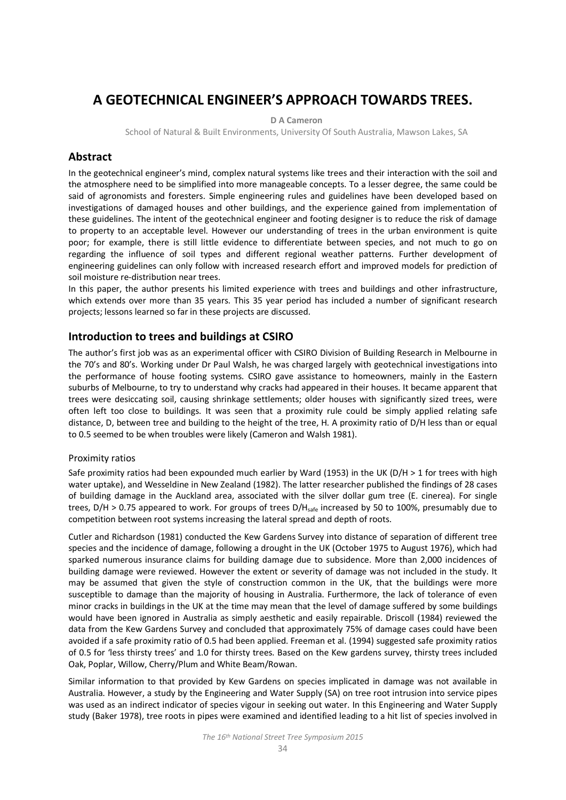# **A GEOTECHNICAL ENGINEER'S APPROACH TOWARDS TREES.**

#### **D A Cameron**

School of Natural & Built Environments, University Of South Australia, Mawson Lakes, SA

# **Abstract**

In the geotechnical engineer's mind, complex natural systems like trees and their interaction with the soil and the atmosphere need to be simplified into more manageable concepts. To a lesser degree, the same could be said of agronomists and foresters. Simple engineering rules and guidelines have been developed based on investigations of damaged houses and other buildings, and the experience gained from implementation of these guidelines. The intent of the geotechnical engineer and footing designer is to reduce the risk of damage to property to an acceptable level. However our understanding of trees in the urban environment is quite poor; for example, there is still little evidence to differentiate between species, and not much to go on regarding the influence of soil types and different regional weather patterns. Further development of engineering guidelines can only follow with increased research effort and improved models for prediction of soil moisture re-distribution near trees.

In this paper, the author presents his limited experience with trees and buildings and other infrastructure, which extends over more than 35 years. This 35 year period has included a number of significant research projects; lessons learned so far in these projects are discussed.

## **Introduction to trees and buildings at CSIRO**

The author's first job was as an experimental officer with CSIRO Division of Building Research in Melbourne in the 70's and 80's. Working under Dr Paul Walsh, he was charged largely with geotechnical investigations into the performance of house footing systems. CSIRO gave assistance to homeowners, mainly in the Eastern suburbs of Melbourne, to try to understand why cracks had appeared in their houses. It became apparent that trees were desiccating soil, causing shrinkage settlements; older houses with significantly sized trees, were often left too close to buildings. It was seen that a proximity rule could be simply applied relating safe distance, D, between tree and building to the height of the tree, H. A proximity ratio of D/H less than or equal to 0.5 seemed to be when troubles were likely (Cameron and Walsh 1981).

#### Proximity ratios

Safe proximity ratios had been expounded much earlier by Ward (1953) in the UK (D/H > 1 for trees with high water uptake), and Wesseldine in New Zealand (1982). The latter researcher published the findings of 28 cases of building damage in the Auckland area, associated with the silver dollar gum tree (E. cinerea). For single trees,  $D/H > 0.75$  appeared to work. For groups of trees  $D/H_{safe}$  increased by 50 to 100%, presumably due to competition between root systems increasing the lateral spread and depth of roots.

Cutler and Richardson (1981) conducted the Kew Gardens Survey into distance of separation of different tree species and the incidence of damage, following a drought in the UK (October 1975 to August 1976), which had sparked numerous insurance claims for building damage due to subsidence. More than 2,000 incidences of building damage were reviewed. However the extent or severity of damage was not included in the study. It may be assumed that given the style of construction common in the UK, that the buildings were more susceptible to damage than the majority of housing in Australia. Furthermore, the lack of tolerance of even minor cracks in buildings in the UK at the time may mean that the level of damage suffered by some buildings would have been ignored in Australia as simply aesthetic and easily repairable. Driscoll (1984) reviewed the data from the Kew Gardens Survey and concluded that approximately 75% of damage cases could have been avoided if a safe proximity ratio of 0.5 had been applied. Freeman et al. (1994) suggested safe proximity ratios of 0.5 for 'less thirsty trees' and 1.0 for thirsty trees. Based on the Kew gardens survey, thirsty trees included Oak, Poplar, Willow, Cherry/Plum and White Beam/Rowan.

Similar information to that provided by Kew Gardens on species implicated in damage was not available in Australia. However, a study by the Engineering and Water Supply (SA) on tree root intrusion into service pipes was used as an indirect indicator of species vigour in seeking out water. In this Engineering and Water Supply study (Baker 1978), tree roots in pipes were examined and identified leading to a hit list of species involved in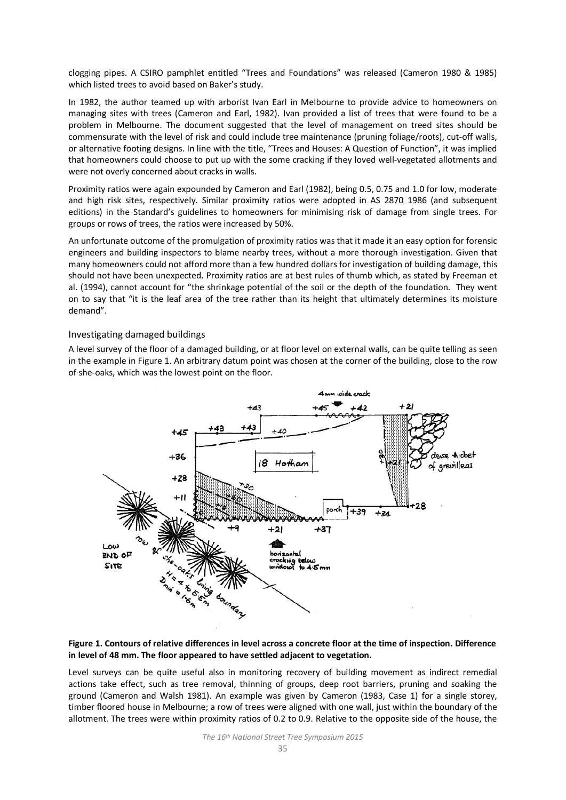clogging pipes. A CSIRO pamphlet entitled "Trees and Foundations" was released (Cameron 1980 & 1985) which listed trees to avoid based on Baker's study.

In 1982, the author teamed up with arborist Ivan Earl in Melbourne to provide advice to homeowners on managing sites with trees (Cameron and Earl, 1982). Ivan provided a list of trees that were found to be a problem in Melbourne. The document suggested that the level of management on treed sites should be commensurate with the level of risk and could include tree maintenance (pruning foliage/roots), cut-off walls, or alternative footing designs. In line with the title, "Trees and Houses: A Question of Function", it was implied that homeowners could choose to put up with the some cracking if they loved well-vegetated allotments and were not overly concerned about cracks in walls.

Proximity ratios were again expounded by Cameron and Earl (1982), being 0.5, 0.75 and 1.0 for low, moderate and high risk sites, respectively. Similar proximity ratios were adopted in AS 2870 1986 (and subsequent editions) in the Standard's guidelines to homeowners for minimising risk of damage from single trees. For groups or rows of trees, the ratios were increased by 50%.

An unfortunate outcome of the promulgation of proximity ratios was that it made it an easy option for forensic engineers and building inspectors to blame nearby trees, without a more thorough investigation. Given that many homeowners could not afford more than a few hundred dollars for investigation of building damage, this should not have been unexpected. Proximity ratios are at best rules of thumb which, as stated by Freeman et al. (1994), cannot account for "the shrinkage potential of the soil or the depth of the foundation. They went on to say that "it is the leaf area of the tree rather than its height that ultimately determines its moisture demand".

#### Investigating damaged buildings

A level survey of the floor of a damaged building, or at floor level on external walls, can be quite telling as seen in the example in Figure 1. An arbitrary datum point was chosen at the corner of the building, close to the row of she-oaks, which was the lowest point on the floor.



#### **Figure 1. Contours of relative differences in level across a concrete floor at the time of inspection. Difference in level of 48 mm. The floor appeared to have settled adjacent to vegetation.**

Level surveys can be quite useful also in monitoring recovery of building movement as indirect remedial actions take effect, such as tree removal, thinning of groups, deep root barriers, pruning and soaking the ground (Cameron and Walsh 1981). An example was given by Cameron (1983, Case 1) for a single storey, timber floored house in Melbourne; a row of trees were aligned with one wall, just within the boundary of the allotment. The trees were within proximity ratios of 0.2 to 0.9. Relative to the opposite side of the house, the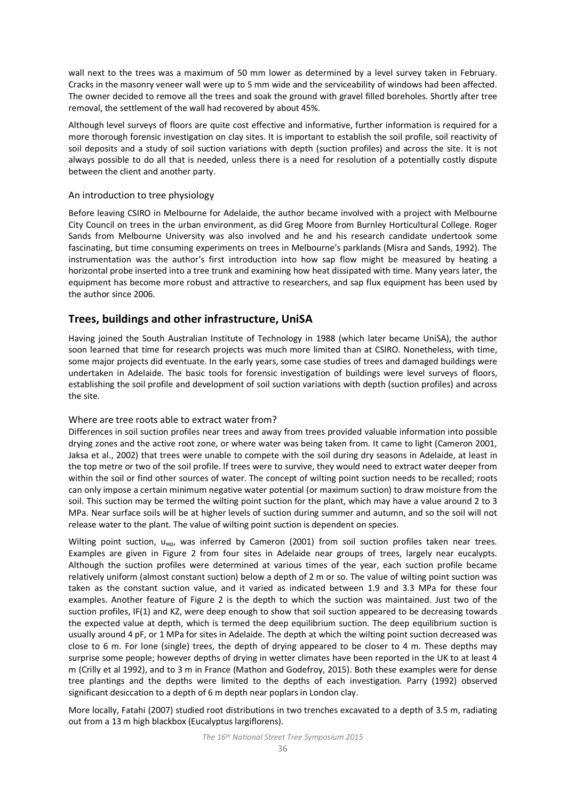wall next to the trees was a maximum of 50 mm lower as determined by a level survey taken in February. Cracks in the masonry veneer wall were up to 5 mm wide and the serviceability of windows had been affected. The owner decided to remove all the trees and soak the ground with gravel filled boreholes. Shortly after tree removal, the settlement of the wall had recovered by about 45%.

Although level surveys of floors are quite cost effective and informative, further information is required for a more thorough forensic investigation on clay sites. It is important to establish the soil profile, soil reactivity of soil deposits and a study of soil suction variations with depth (suction profiles) and across the site. It is not always possible to do all that is needed, unless there is a need for resolution of a potentially costly dispute between the client and another party.

#### An introduction to tree physiology

Before leaving CSIRO in Melbourne for Adelaide, the author became involved with a project with Melbourne City Council on trees in the urban environment, as did Greg Moore from Burnley Horticultural College. Roger Sands from Melbourne University was also involved and he and his research candidate undertook some fascinating, but time consuming experiments on trees in Melbourne's parklands (Misra and Sands, 1992). The instrumentation was the author's first introduction into how sap flow might be measured by heating a horizontal probe inserted into a tree trunk and examining how heat dissipated with time. Many years later, the equipment has become more robust and attractive to researchers, and sap flux equipment has been used by the author since 2006.

## **Trees, buildings and other infrastructure, UniSA**

Having joined the South Australian Institute of Technology in 1988 (which later became UniSA), the author soon learned that time for research projects was much more limited than at CSIRO. Nonetheless, with time, some major projects did eventuate. In the early years, some case studies of trees and damaged buildings were undertaken in Adelaide. The basic tools for forensic investigation of buildings were level surveys of floors, establishing the soil profile and development of soil suction variations with depth (suction profiles) and across the site.

### Where are tree roots able to extract water from?

Differences in soil suction profiles near trees and away from trees provided valuable information into possible drying zones and the active root zone, or where water was being taken from. It came to light (Cameron 2001, Jaksa et al., 2002) that trees were unable to compete with the soil during dry seasons in Adelaide, at least in the top metre or two of the soil profile. If trees were to survive, they would need to extract water deeper from within the soil or find other sources of water. The concept of wilting point suction needs to be recalled; roots can only impose a certain minimum negative water potential (or maximum suction) to draw moisture from the soil. This suction may be termed the wilting point suction for the plant, which may have a value around 2 to 3 MPa. Near surface soils will be at higher levels of suction during summer and autumn, and so the soil will not release water to the plant. The value of wilting point suction is dependent on species.

Wilting point suction, u<sub>wp</sub>, was inferred by Cameron (2001) from soil suction profiles taken near trees. Examples are given in Figure 2 from four sites in Adelaide near groups of trees, largely near eucalypts. Although the suction profiles were determined at various times of the year, each suction profile became relatively uniform (almost constant suction) below a depth of 2 m or so. The value of wilting point suction was taken as the constant suction value, and it varied as indicated between 1.9 and 3.3 MPa for these four examples. Another feature of Figure 2 is the depth to which the suction was maintained. Just two of the suction profiles, IF(1) and KZ, were deep enough to show that soil suction appeared to be decreasing towards the expected value at depth, which is termed the deep equilibrium suction. The deep equilibrium suction is usually around 4 pF, or 1 MPa for sites in Adelaide. The depth at which the wilting point suction decreased was close to 6 m. For lone (single) trees, the depth of drying appeared to be closer to 4 m. These depths may surprise some people; however depths of drying in wetter climates have been reported in the UK to at least 4 m (Crilly et al 1992), and to 3 m in France (Mathon and Godefroy, 2015). Both these examples were for dense tree plantings and the depths were limited to the depths of each investigation. Parry (1992) observed significant desiccation to a depth of 6 m depth near poplars in London clay.

More locally, Fatahi (2007) studied root distributions in two trenches excavated to a depth of 3.5 m, radiating out from a 13 m high blackbox (Eucalyptus largiflorens).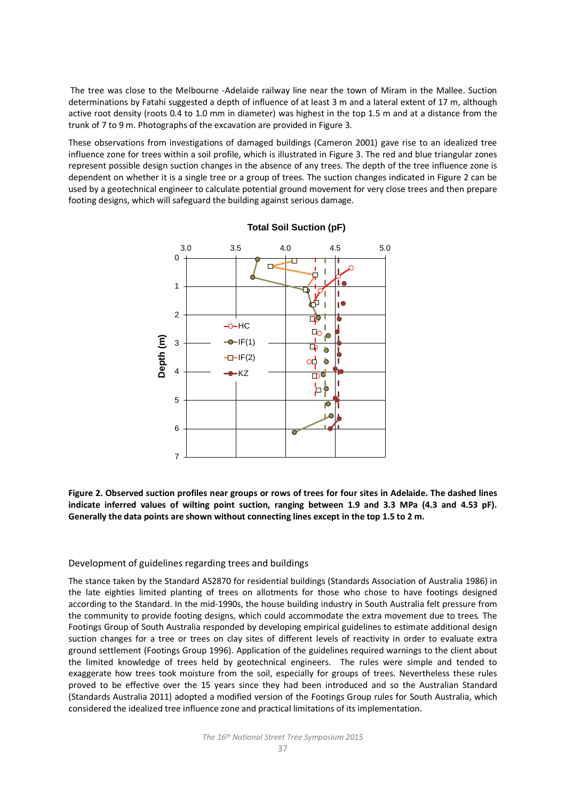The tree was close to the Melbourne -Adelaide railway line near the town of Miram in the Mallee. Suction determinations by Fatahi suggested a depth of influence of at least 3 m and a lateral extent of 17 m, although active root density (roots 0.4 to 1.0 mm in diameter) was highest in the top 1.5 m and at a distance from the trunk of 7 to 9 m. Photographs of the excavation are provided in Figure 3.

These observations from investigations of damaged buildings (Cameron 2001) gave rise to an idealized tree influence zone for trees within a soil profile, which is illustrated in Figure 3. The red and blue triangular zones represent possible design suction changes in the absence of any trees. The depth of the tree influence zone is dependent on whether it is a single tree or a group of trees. The suction changes indicated in Figure 2 can be used by a geotechnical engineer to calculate potential ground movement for very close trees and then prepare footing designs, which will safeguard the building against serious damage.



#### **Total Soil Suction (pF)**

**Figure 2. Observed suction profiles near groups or rows of trees for four sites in Adelaide. The dashed lines indicate inferred values of wilting point suction, ranging between 1.9 and 3.3 MPa (4.3 and 4.53 pF). Generally the data points are shown without connecting lines except in the top 1.5 to 2 m.** 

#### Development of guidelines regarding trees and buildings

The stance taken by the Standard AS2870 for residential buildings (Standards Association of Australia 1986) in the late eighties limited planting of trees on allotments for those who chose to have footings designed according to the Standard. In the mid-1990s, the house building industry in South Australia felt pressure from the community to provide footing designs, which could accommodate the extra movement due to trees*.* The Footings Group of South Australia responded by developing empirical guidelines to estimate additional design suction changes for a tree or trees on clay sites of different levels of reactivity in order to evaluate extra ground settlement (Footings Group 1996). Application of the guidelines required warnings to the client about the limited knowledge of trees held by geotechnical engineers. The rules were simple and tended to exaggerate how trees took moisture from the soil, especially for groups of trees. Nevertheless these rules proved to be effective over the 15 years since they had been introduced and so the Australian Standard (Standards Australia 2011) adopted a modified version of the Footings Group rules for South Australia, which considered the idealized tree influence zone and practical limitations of its implementation.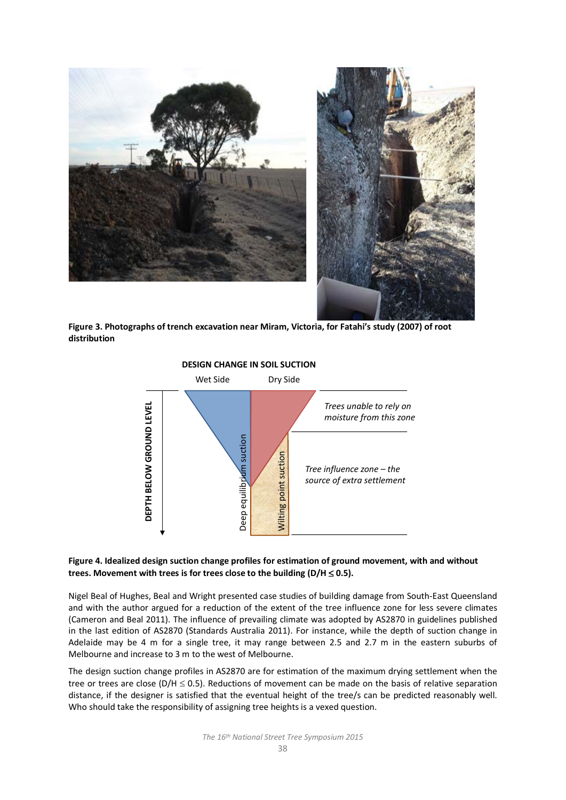



**Figure 3. Photographs of trench excavation near Miram, Victoria, for Fatahi's study (2007) of root distribution**



#### **Figure 4. Idealized design suction change profiles for estimation of ground movement, with and without trees. Movement with trees is for trees close to the building (D/H** ≤ **0.5).**

Nigel Beal of Hughes, Beal and Wright presented case studies of building damage from South-East Queensland and with the author argued for a reduction of the extent of the tree influence zone for less severe climates (Cameron and Beal 2011). The influence of prevailing climate was adopted by AS2870 in guidelines published in the last edition of AS2870 (Standards Australia 2011). For instance, while the depth of suction change in Adelaide may be 4 m for a single tree, it may range between 2.5 and 2.7 m in the eastern suburbs of Melbourne and increase to 3 m to the west of Melbourne.

The design suction change profiles in AS2870 are for estimation of the maximum drying settlement when the tree or trees are close ( $D/H \le 0.5$ ). Reductions of movement can be made on the basis of relative separation distance, if the designer is satisfied that the eventual height of the tree/s can be predicted reasonably well. Who should take the responsibility of assigning tree heights is a vexed question.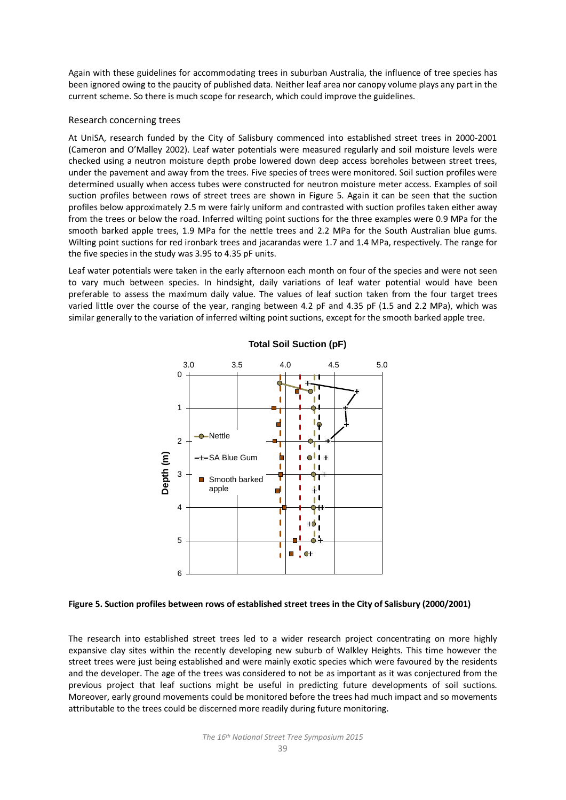Again with these guidelines for accommodating trees in suburban Australia, the influence of tree species has been ignored owing to the paucity of published data. Neither leaf area nor canopy volume plays any part in the current scheme. So there is much scope for research, which could improve the guidelines.

#### Research concerning trees

At UniSA, research funded by the City of Salisbury commenced into established street trees in 2000-2001 (Cameron and O'Malley 2002). Leaf water potentials were measured regularly and soil moisture levels were checked using a neutron moisture depth probe lowered down deep access boreholes between street trees, under the pavement and away from the trees. Five species of trees were monitored. Soil suction profiles were determined usually when access tubes were constructed for neutron moisture meter access. Examples of soil suction profiles between rows of street trees are shown in Figure 5. Again it can be seen that the suction profiles below approximately 2.5 m were fairly uniform and contrasted with suction profiles taken either away from the trees or below the road. Inferred wilting point suctions for the three examples were 0.9 MPa for the smooth barked apple trees, 1.9 MPa for the nettle trees and 2.2 MPa for the South Australian blue gums. Wilting point suctions for red ironbark trees and jacarandas were 1.7 and 1.4 MPa, respectively. The range for the five species in the study was 3.95 to 4.35 pF units.

Leaf water potentials were taken in the early afternoon each month on four of the species and were not seen to vary much between species. In hindsight, daily variations of leaf water potential would have been preferable to assess the maximum daily value. The values of leaf suction taken from the four target trees varied little over the course of the year, ranging between 4.2 pF and 4.35 pF (1.5 and 2.2 MPa), which was similar generally to the variation of inferred wilting point suctions, except for the smooth barked apple tree.



## **Total Soil Suction (pF)**

#### **Figure 5. Suction profiles between rows of established street trees in the City of Salisbury (2000/2001)**

The research into established street trees led to a wider research project concentrating on more highly expansive clay sites within the recently developing new suburb of Walkley Heights. This time however the street trees were just being established and were mainly exotic species which were favoured by the residents and the developer. The age of the trees was considered to not be as important as it was conjectured from the previous project that leaf suctions might be useful in predicting future developments of soil suctions. Moreover, early ground movements could be monitored before the trees had much impact and so movements attributable to the trees could be discerned more readily during future monitoring.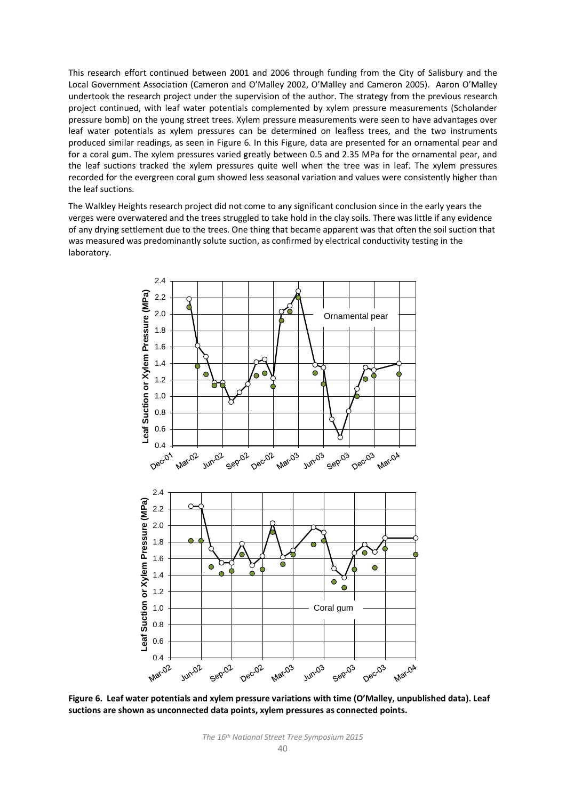This research effort continued between 2001 and 2006 through funding from the City of Salisbury and the Local Government Association (Cameron and O'Malley 2002, O'Malley and Cameron 2005). Aaron O'Malley undertook the research project under the supervision of the author. The strategy from the previous research project continued, with leaf water potentials complemented by xylem pressure measurements (Scholander pressure bomb) on the young street trees. Xylem pressure measurements were seen to have advantages over leaf water potentials as xylem pressures can be determined on leafless trees, and the two instruments produced similar readings, as seen in Figure 6. In this Figure, data are presented for an ornamental pear and for a coral gum. The xylem pressures varied greatly between 0.5 and 2.35 MPa for the ornamental pear, and the leaf suctions tracked the xylem pressures quite well when the tree was in leaf. The xylem pressures recorded for the evergreen coral gum showed less seasonal variation and values were consistently higher than the leaf suctions.

The Walkley Heights research project did not come to any significant conclusion since in the early years the verges were overwatered and the trees struggled to take hold in the clay soils. There was little if any evidence of any drying settlement due to the trees. One thing that became apparent was that often the soil suction that was measured was predominantly solute suction, as confirmed by electrical conductivity testing in the laboratory.



**Figure 6. Leaf water potentials and xylem pressure variations with time (O'Malley, unpublished data). Leaf suctions are shown as unconnected data points, xylem pressures as connected points.**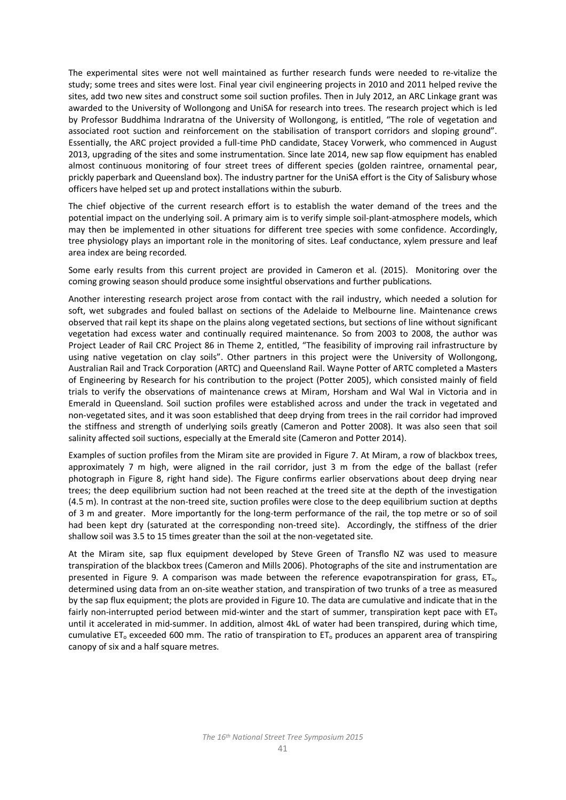The experimental sites were not well maintained as further research funds were needed to re-vitalize the study; some trees and sites were lost. Final year civil engineering projects in 2010 and 2011 helped revive the sites, add two new sites and construct some soil suction profiles. Then in July 2012, an ARC Linkage grant was awarded to the University of Wollongong and UniSA for research into trees. The research project which is led by Professor Buddhima Indraratna of the University of Wollongong, is entitled, "The role of vegetation and associated root suction and reinforcement on the stabilisation of transport corridors and sloping ground". Essentially, the ARC project provided a full-time PhD candidate, Stacey Vorwerk, who commenced in August 2013, upgrading of the sites and some instrumentation. Since late 2014, new sap flow equipment has enabled almost continuous monitoring of four street trees of different species (golden raintree, ornamental pear, prickly paperbark and Queensland box). The industry partner for the UniSA effort is the City of Salisbury whose officers have helped set up and protect installations within the suburb.

The chief objective of the current research effort is to establish the water demand of the trees and the potential impact on the underlying soil. A primary aim is to verify simple soil-plant-atmosphere models, which may then be implemented in other situations for different tree species with some confidence. Accordingly, tree physiology plays an important role in the monitoring of sites. Leaf conductance, xylem pressure and leaf area index are being recorded.

Some early results from this current project are provided in Cameron et al. (2015). Monitoring over the coming growing season should produce some insightful observations and further publications.

Another interesting research project arose from contact with the rail industry, which needed a solution for soft, wet subgrades and fouled ballast on sections of the Adelaide to Melbourne line. Maintenance crews observed that rail kept its shape on the plains along vegetated sections, but sections of line without significant vegetation had excess water and continually required maintenance. So from 2003 to 2008, the author was Project Leader of Rail CRC Project 86 in Theme 2, entitled, "The feasibility of improving rail infrastructure by using native vegetation on clay soils". Other partners in this project were the University of Wollongong, Australian Rail and Track Corporation (ARTC) and Queensland Rail. Wayne Potter of ARTC completed a Masters of Engineering by Research for his contribution to the project (Potter 2005), which consisted mainly of field trials to verify the observations of maintenance crews at Miram, Horsham and Wal Wal in Victoria and in Emerald in Queensland. Soil suction profiles were established across and under the track in vegetated and non-vegetated sites, and it was soon established that deep drying from trees in the rail corridor had improved the stiffness and strength of underlying soils greatly (Cameron and Potter 2008). It was also seen that soil salinity affected soil suctions, especially at the Emerald site (Cameron and Potter 2014).

Examples of suction profiles from the Miram site are provided in Figure 7. At Miram, a row of blackbox trees, approximately 7 m high, were aligned in the rail corridor, just 3 m from the edge of the ballast (refer photograph in Figure 8, right hand side). The Figure confirms earlier observations about deep drying near trees; the deep equilibrium suction had not been reached at the treed site at the depth of the investigation (4.5 m). In contrast at the non-treed site, suction profiles were close to the deep equilibrium suction at depths of 3 m and greater. More importantly for the long-term performance of the rail, the top metre or so of soil had been kept dry (saturated at the corresponding non-treed site). Accordingly, the stiffness of the drier shallow soil was 3.5 to 15 times greater than the soil at the non-vegetated site.

At the Miram site, sap flux equipment developed by Steve Green of Transflo NZ was used to measure transpiration of the blackbox trees (Cameron and Mills 2006). Photographs of the site and instrumentation are presented in Figure 9. A comparison was made between the reference evapotranspiration for grass,  $ET_0$ , determined using data from an on-site weather station, and transpiration of two trunks of a tree as measured by the sap flux equipment; the plots are provided in Figure 10. The data are cumulative and indicate that in the fairly non-interrupted period between mid-winter and the start of summer, transpiration kept pace with  $ET_0$ until it accelerated in mid-summer. In addition, almost 4kL of water had been transpired, during which time, cumulative ET<sub>o</sub> exceeded 600 mm. The ratio of transpiration to ET<sub>o</sub> produces an apparent area of transpiring canopy of six and a half square metres.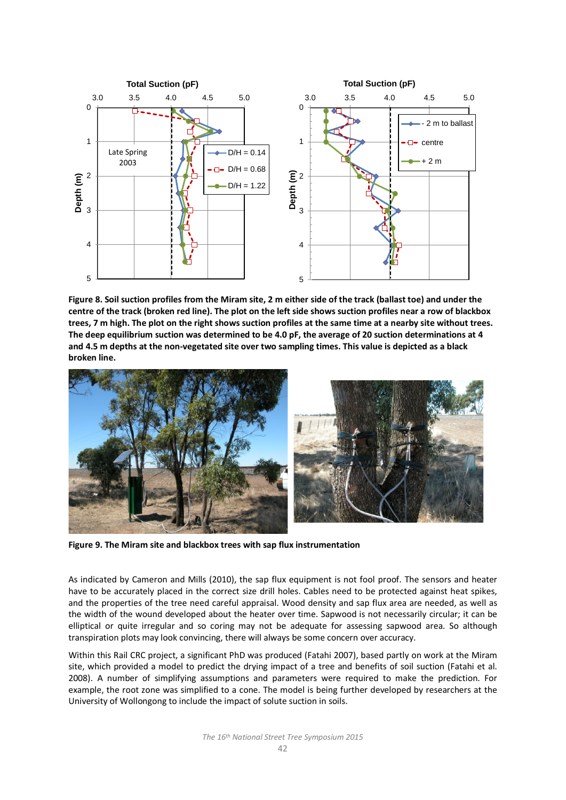

**Figure 8. Soil suction profiles from the Miram site, 2 m either side of the track (ballast toe) and under the centre of the track (broken red line). The plot on the left side shows suction profiles near a row of blackbox trees, 7 m high. The plot on the right shows suction profiles at the same time at a nearby site without trees. The deep equilibrium suction was determined to be 4.0 pF, the average of 20 suction determinations at 4 and 4.5 m depths at the non-vegetated site over two sampling times. This value is depicted as a black broken line.** 



**Figure 9. The Miram site and blackbox trees with sap flux instrumentation**

As indicated by Cameron and Mills (2010), the sap flux equipment is not fool proof. The sensors and heater have to be accurately placed in the correct size drill holes. Cables need to be protected against heat spikes, and the properties of the tree need careful appraisal. Wood density and sap flux area are needed, as well as the width of the wound developed about the heater over time. Sapwood is not necessarily circular; it can be elliptical or quite irregular and so coring may not be adequate for assessing sapwood area. So although transpiration plots may look convincing, there will always be some concern over accuracy.

Within this Rail CRC project, a significant PhD was produced (Fatahi 2007), based partly on work at the Miram site, which provided a model to predict the drying impact of a tree and benefits of soil suction (Fatahi et al. 2008). A number of simplifying assumptions and parameters were required to make the prediction. For example, the root zone was simplified to a cone. The model is being further developed by researchers at the University of Wollongong to include the impact of solute suction in soils.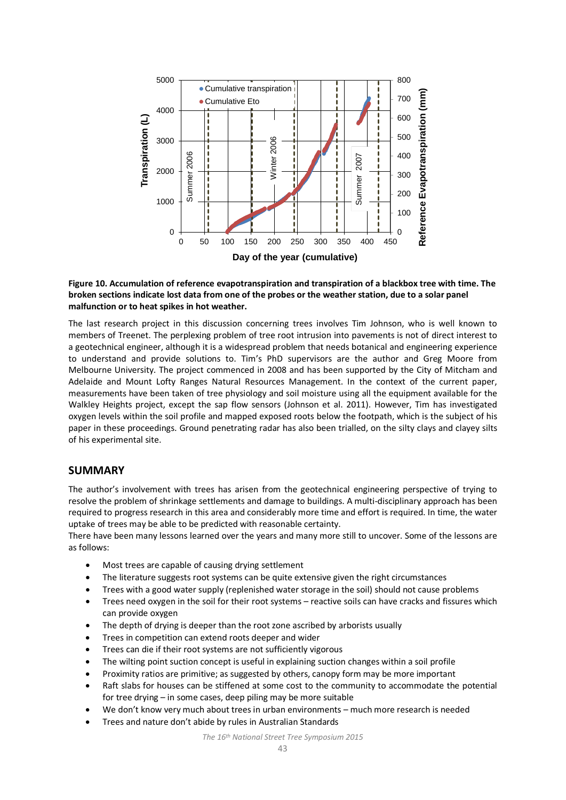

#### **Figure 10. Accumulation of reference evapotranspiration and transpiration of a blackbox tree with time. The broken sections indicate lost data from one of the probes or the weather station, due to a solar panel malfunction or to heat spikes in hot weather.**

The last research project in this discussion concerning trees involves Tim Johnson, who is well known to members of Treenet. The perplexing problem of tree root intrusion into pavements is not of direct interest to a geotechnical engineer, although it is a widespread problem that needs botanical and engineering experience to understand and provide solutions to. Tim's PhD supervisors are the author and Greg Moore from Melbourne University. The project commenced in 2008 and has been supported by the City of Mitcham and Adelaide and Mount Lofty Ranges Natural Resources Management. In the context of the current paper, measurements have been taken of tree physiology and soil moisture using all the equipment available for the Walkley Heights project, except the sap flow sensors (Johnson et al. 2011). However, Tim has investigated oxygen levels within the soil profile and mapped exposed roots below the footpath, which is the subject of his paper in these proceedings. Ground penetrating radar has also been trialled, on the silty clays and clayey silts of his experimental site.

## **SUMMARY**

The author's involvement with trees has arisen from the geotechnical engineering perspective of trying to resolve the problem of shrinkage settlements and damage to buildings. A multi-disciplinary approach has been required to progress research in this area and considerably more time and effort is required. In time, the water uptake of trees may be able to be predicted with reasonable certainty.

There have been many lessons learned over the years and many more still to uncover. Some of the lessons are as follows:

- Most trees are capable of causing drying settlement
- The literature suggests root systems can be quite extensive given the right circumstances
- Trees with a good water supply (replenished water storage in the soil) should not cause problems
- Trees need oxygen in the soil for their root systems reactive soils can have cracks and fissures which can provide oxygen
- The depth of drying is deeper than the root zone ascribed by arborists usually
- Trees in competition can extend roots deeper and wider
- Trees can die if their root systems are not sufficiently vigorous
- The wilting point suction concept is useful in explaining suction changes within a soil profile
- Proximity ratios are primitive; as suggested by others, canopy form may be more important
- Raft slabs for houses can be stiffened at some cost to the community to accommodate the potential for tree drying – in some cases, deep piling may be more suitable
- We don't know very much about trees in urban environments much more research is needed
- Trees and nature don't abide by rules in Australian Standards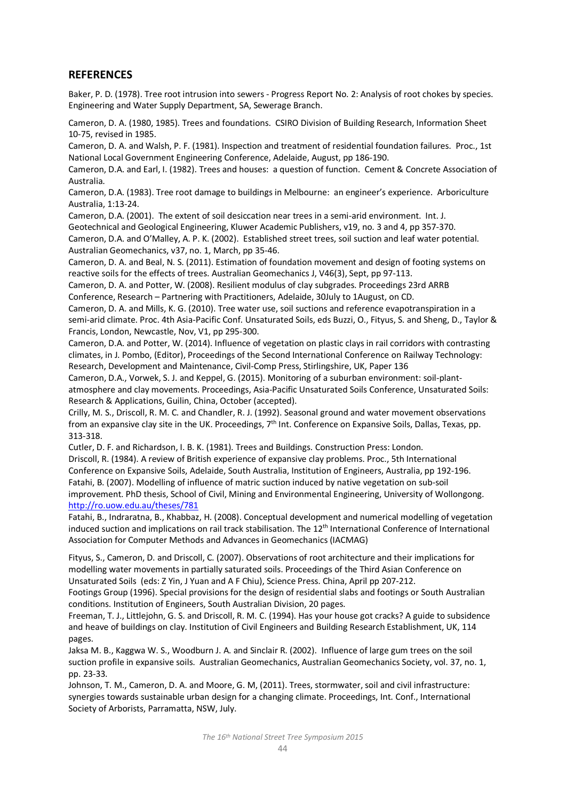# **REFERENCES**

Baker, P. D. (1978). Tree root intrusion into sewers - Progress Report No. 2: Analysis of root chokes by species. Engineering and Water Supply Department, SA, Sewerage Branch.

Cameron, D. A. (1980, 1985). Trees and foundations. CSIRO Division of Building Research, Information Sheet 10-75, revised in 1985.

Cameron, D. A. and Walsh, P. F. (1981). Inspection and treatment of residential foundation failures. Proc., 1st National Local Government Engineering Conference, Adelaide, August, pp 186-190.

Cameron, D.A. and Earl, I. (1982). Trees and houses: a question of function. Cement & Concrete Association of Australia.

Cameron, D.A. (1983). Tree root damage to buildings in Melbourne: an engineer's experience. Arboriculture Australia, 1:13-24.

Cameron, D.A. (2001). The extent of soil desiccation near trees in a semi-arid environment. Int. J. Geotechnical and Geological Engineering, Kluwer Academic Publishers, v19, no. 3 and 4, pp 357-370.

Cameron, D.A. and O'Malley, A. P. K. (2002). Established street trees, soil suction and leaf water potential. Australian Geomechanics, v37, no. 1, March, pp 35-46.

Cameron, D. A. and Beal, N. S. (2011). Estimation of foundation movement and design of footing systems on reactive soils for the effects of trees. Australian Geomechanics J, V46(3), Sept, pp 97-113.

Cameron, D. A. and Potter, W. (2008). Resilient modulus of clay subgrades. Proceedings 23rd ARRB Conference, Research – Partnering with Practitioners, Adelaide, 30July to 1August, on CD.

Cameron, D. A. and Mills, K. G. (2010). Tree water use, soil suctions and reference evapotranspiration in a semi-arid climate. Proc. 4th Asia-Pacific Conf. Unsaturated Soils, eds Buzzi, O., Fityus, S. and Sheng, D., Taylor & Francis, London, Newcastle, Nov, V1, pp 295-300.

Cameron, D.A. and Potter, W. (2014). Influence of vegetation on plastic clays in rail corridors with contrasting climates, in J. Pombo, (Editor), Proceedings of the Second International Conference on Railway Technology: Research, Development and Maintenance, Civil-Comp Press, Stirlingshire, UK, Paper 136

Cameron, D.A., Vorwek, S. J. and Keppel, G. (2015). Monitoring of a suburban environment: soil-plantatmosphere and clay movements. Proceedings, Asia-Pacific Unsaturated Soils Conference, Unsaturated Soils: Research & Applications, Guilin, China, October (accepted).

Crilly, M. S., Driscoll, R. M. C. and Chandler, R. J. (1992). Seasonal ground and water movement observations from an expansive clay site in the UK. Proceedings, 7<sup>th</sup> Int. Conference on Expansive Soils, Dallas, Texas, pp. 313-318.

Cutler, D. F. and Richardson, I. B. K. (1981). Trees and Buildings. Construction Press: London. Driscoll, R. (1984). A review of British experience of expansive clay problems. Proc., 5th International Conference on Expansive Soils, Adelaide, South Australia, Institution of Engineers, Australia, pp 192-196. Fatahi, B. (2007). Modelling of influence of matric suction induced by native vegetation on sub-soil improvement. PhD thesis, School of Civil, Mining and Environmental Engineering, University of Wollongong. <http://ro.uow.edu.au/theses/781>

Fatahi, B., Indraratna, B., Khabbaz, H. (2008). Conceptual development and numerical modelling of vegetation induced suction and implications on rail track stabilisation. The  $12<sup>th</sup>$  International Conference of International Association for Computer Methods and Advances in Geomechanics (IACMAG)

Fityus, S., Cameron, D. and Driscoll, C. (2007). Observations of root architecture and their implications for modelling water movements in partially saturated soils. Proceedings of the Third Asian Conference on Unsaturated Soils (eds: Z Yin, J Yuan and A F Chiu), Science Press. China, April pp 207-212.

Footings Group (1996). Special provisions for the design of residential slabs and footings or South Australian conditions. Institution of Engineers, South Australian Division, 20 pages.

Freeman, T. J., Littlejohn, G. S. and Driscoll, R. M. C. (1994). Has your house got cracks? A guide to subsidence and heave of buildings on clay. Institution of Civil Engineers and Building Research Establishment, UK, 114 pages.

Jaksa M. B., Kaggwa W. S., Woodburn J. A. and Sinclair R. (2002). Influence of large gum trees on the soil suction profile in expansive soils. Australian Geomechanics, Australian Geomechanics Society, vol. 37, no. 1, pp. 23-33.

Johnson, T. M., Cameron, D. A. and Moore, G. M, (2011). Trees, stormwater, soil and civil infrastructure: synergies towards sustainable urban design for a changing climate. Proceedings, Int. Conf., International Society of Arborists, Parramatta, NSW, July.